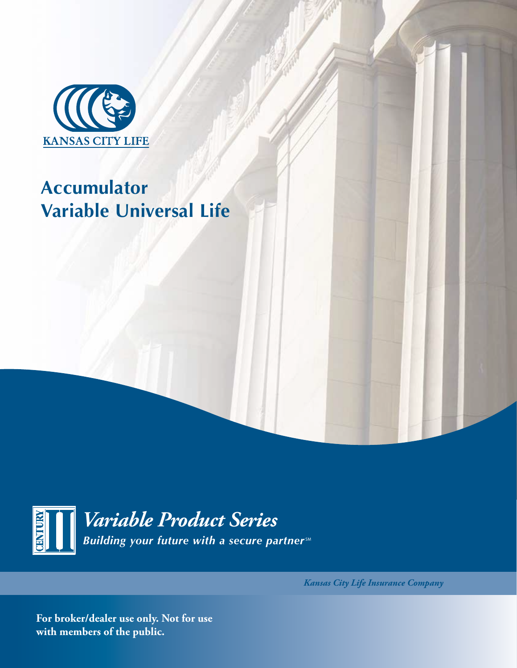

## **Accumulator Variable Universal Life**



*Kansas City Life Insurance Company*

**For broker/dealer use only. Not for use with members of the public.**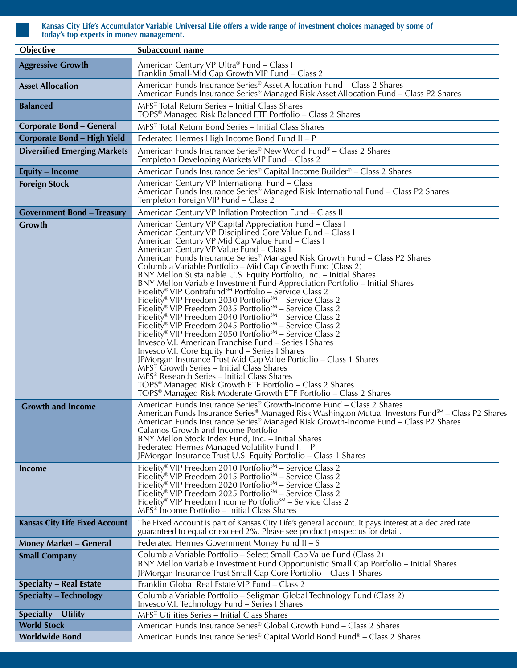**Kansas City Life's Accumulator Variable Universal Life offers a wide range of investment choices managed by some of today's top experts in money management.** 

| <b>Objective</b>                      | Subaccount name                                                                                                                                                                                                                                                                                                                                                                                                                                                                                                                                                                                                                                                                                                                                                                                                                                                                                                                                                                                                                                                                                                                                                                                                                                                                                                                                                                                                                       |
|---------------------------------------|---------------------------------------------------------------------------------------------------------------------------------------------------------------------------------------------------------------------------------------------------------------------------------------------------------------------------------------------------------------------------------------------------------------------------------------------------------------------------------------------------------------------------------------------------------------------------------------------------------------------------------------------------------------------------------------------------------------------------------------------------------------------------------------------------------------------------------------------------------------------------------------------------------------------------------------------------------------------------------------------------------------------------------------------------------------------------------------------------------------------------------------------------------------------------------------------------------------------------------------------------------------------------------------------------------------------------------------------------------------------------------------------------------------------------------------|
| <b>Aggressive Growth</b>              | American Century VP Ultra® Fund – Class I<br>Franklin Small-Mid Cap Growth VIP Fund - Class 2                                                                                                                                                                                                                                                                                                                                                                                                                                                                                                                                                                                                                                                                                                                                                                                                                                                                                                                                                                                                                                                                                                                                                                                                                                                                                                                                         |
| <b>Asset Allocation</b>               | American Funds Insurance Series® Asset Allocation Fund – Class 2 Shares<br>American Funds Insurance Series <sup>®</sup> Managed Risk Asset Allocation Fund – Class P2 Shares                                                                                                                                                                                                                                                                                                                                                                                                                                                                                                                                                                                                                                                                                                                                                                                                                                                                                                                                                                                                                                                                                                                                                                                                                                                          |
| <b>Balanced</b>                       | MFS <sup>®</sup> Total Return Series - Initial Class Shares<br>TOPS® Managed Risk Balanced ETF Portfolio - Class 2 Shares                                                                                                                                                                                                                                                                                                                                                                                                                                                                                                                                                                                                                                                                                                                                                                                                                                                                                                                                                                                                                                                                                                                                                                                                                                                                                                             |
| <b>Corporate Bond - General</b>       | MFS <sup>®</sup> Total Return Bond Series - Initial Class Shares                                                                                                                                                                                                                                                                                                                                                                                                                                                                                                                                                                                                                                                                                                                                                                                                                                                                                                                                                                                                                                                                                                                                                                                                                                                                                                                                                                      |
| <b>Corporate Bond - High Yield</b>    | Federated Hermes High Income Bond Fund II - P                                                                                                                                                                                                                                                                                                                                                                                                                                                                                                                                                                                                                                                                                                                                                                                                                                                                                                                                                                                                                                                                                                                                                                                                                                                                                                                                                                                         |
| <b>Diversified Emerging Markets</b>   | American Funds Insurance Series® New World Fund® - Class 2 Shares<br>Templeton Developing Markets VIP Fund - Class 2                                                                                                                                                                                                                                                                                                                                                                                                                                                                                                                                                                                                                                                                                                                                                                                                                                                                                                                                                                                                                                                                                                                                                                                                                                                                                                                  |
| <b>Equity - Income</b>                | American Funds Insurance Series® Capital Income Builder® - Class 2 Shares                                                                                                                                                                                                                                                                                                                                                                                                                                                                                                                                                                                                                                                                                                                                                                                                                                                                                                                                                                                                                                                                                                                                                                                                                                                                                                                                                             |
| <b>Foreign Stock</b>                  | American Century VP International Fund – Class I<br>American Funds Insurance Series <sup>®</sup> Managed Risk International Fund – Class P2 Shares<br>Templeton Foreign VIP Fund - Class 2                                                                                                                                                                                                                                                                                                                                                                                                                                                                                                                                                                                                                                                                                                                                                                                                                                                                                                                                                                                                                                                                                                                                                                                                                                            |
| <b>Government Bond - Treasury</b>     | American Century VP Inflation Protection Fund - Class II                                                                                                                                                                                                                                                                                                                                                                                                                                                                                                                                                                                                                                                                                                                                                                                                                                                                                                                                                                                                                                                                                                                                                                                                                                                                                                                                                                              |
| Growth                                | American Century VP Capital Appreciation Fund - Class I<br>American Century VP Disciplined Core Value Fund - Class I<br>American Century VP Mid Cap Value Fund – Class I<br>American Century VP Value Fund - Class I<br>American Funds Insurance Series <sup>®</sup> Managed Risk Growth Fund – Class P2 Shares<br>Columbia Variable Portfolio – Mid Cap Growth Fund (Class 2)<br>BNY Mellon Sustainable U.S. Equity Portfolio, Inc. - Initial Shares<br>BNY Mellon Variable Investment Fund Appreciation Portfolio – Initial Shares<br>Fidelity® VIP Contrafund <sup>SM</sup> Portfolio - Service Class 2<br>Fidelity® VIP Freedom 2030 Portfolio <sup>SM</sup> - Service Class 2<br>Fidelity® VIP Freedom 2035 Portfolio <sup>SM</sup> – Service Class 2<br>Fidelity® VIP Freedom 2040 Portfolio <sup>SM</sup> - Service Class 2<br>Fidelity® VIP Freedom 2045 Portfolio <sup>SM</sup> – Service Class 2<br>Fidelity® VIP Freedom 2050 Portfolio <sup>SM</sup> – Service Class 2<br>Invesco V.I. American Franchise Fund – Series I Shares<br>Invesco V.I. Core Equity Fund - Series I Shares<br>JPMorgan Insurance Trust Mid Cap Value Portfolio – Class 1 Shares<br>MFS <sup>®</sup> Growth Series – Initial Class Shares<br>MFS <sup>®</sup> Research Series - Initial Class Shares<br>TOPS <sup>®</sup> Managed Risk Growth ETF Portfolio – Class 2 Shares<br>TOPS® Managed Risk Moderate Growth ETF Portfolio - Class 2 Shares |
| <b>Growth and Income</b>              | American Funds Insurance Series® Growth-Income Fund – Class 2 Shares<br>American Funds Insurance Series® Managed Risk Washington Mutual Investors Fund <sup>sM</sup> – Class P2 Shares<br>American Funds Insurance Series <sup>®</sup> Managed Risk Growth-Income Fund – Class P2 Shares<br>Calamos Growth and Income Portfolio<br>BNY Mellon Stock Index Fund, Inc. - Initial Shares<br>Federated Hermes Managed Volatility Fund II - P<br>JPMorgan Insurance Trust U.S. Equity Portfolio – Class 1 Shares                                                                                                                                                                                                                                                                                                                                                                                                                                                                                                                                                                                                                                                                                                                                                                                                                                                                                                                           |
| Income                                | Fidelity® VIP Freedom 2010 Portfolio <sup>SM</sup> – Service Class 2<br>Fidelity® VIP Freedom 2015 Portfolio <sup>SM</sup> – Service Class 2<br>Fidelity® VIP Freedom 2020 Portfolio <sup>SM</sup> - Service Class 2<br>Fidelity® VIP Freedom 2025 Portfolio <sup>SM</sup> – Service Class 2<br>Fidelity® VIP Freedom Income Portfolio <sup>SM</sup> – Service Class 2<br>MFS <sup>®</sup> Income Portfolio – Initial Class Shares                                                                                                                                                                                                                                                                                                                                                                                                                                                                                                                                                                                                                                                                                                                                                                                                                                                                                                                                                                                                    |
| <b>Kansas City Life Fixed Account</b> | The Fixed Account is part of Kansas City Life's general account. It pays interest at a declared rate<br>guaranteed to equal or exceed 2%. Please see product prospectus for detail.                                                                                                                                                                                                                                                                                                                                                                                                                                                                                                                                                                                                                                                                                                                                                                                                                                                                                                                                                                                                                                                                                                                                                                                                                                                   |
| <b>Money Market - General</b>         | Federated Hermes Government Money Fund II - S                                                                                                                                                                                                                                                                                                                                                                                                                                                                                                                                                                                                                                                                                                                                                                                                                                                                                                                                                                                                                                                                                                                                                                                                                                                                                                                                                                                         |
| <b>Small Company</b>                  | Columbia Variable Portfolio - Select Small Cap Value Fund (Class 2)<br>BNY Mellon Variable Investment Fund Opportunistic Small Cap Portfolio – Initial Shares<br>JPMorgan Insurance Trust Small Cap Core Portfolio - Class 1 Shares                                                                                                                                                                                                                                                                                                                                                                                                                                                                                                                                                                                                                                                                                                                                                                                                                                                                                                                                                                                                                                                                                                                                                                                                   |
| <b>Specialty - Real Estate</b>        | Franklin Global Real Estate VIP Fund - Class 2                                                                                                                                                                                                                                                                                                                                                                                                                                                                                                                                                                                                                                                                                                                                                                                                                                                                                                                                                                                                                                                                                                                                                                                                                                                                                                                                                                                        |
| <b>Specialty – Technology</b>         | Columbia Variable Portfolio - Seligman Global Technology Fund (Class 2)<br>Invesco V.I. Technology Fund – Series I Shares                                                                                                                                                                                                                                                                                                                                                                                                                                                                                                                                                                                                                                                                                                                                                                                                                                                                                                                                                                                                                                                                                                                                                                                                                                                                                                             |
| <b>Specialty – Utility</b>            | MFS <sup>®</sup> Utilities Series - Initial Class Shares                                                                                                                                                                                                                                                                                                                                                                                                                                                                                                                                                                                                                                                                                                                                                                                                                                                                                                                                                                                                                                                                                                                                                                                                                                                                                                                                                                              |
| <b>World Stock</b>                    | American Funds Insurance Series® Global Growth Fund – Class 2 Shares                                                                                                                                                                                                                                                                                                                                                                                                                                                                                                                                                                                                                                                                                                                                                                                                                                                                                                                                                                                                                                                                                                                                                                                                                                                                                                                                                                  |
| <b>Worldwide Bond</b>                 | American Funds Insurance Series® Capital World Bond Fund® - Class 2 Shares                                                                                                                                                                                                                                                                                                                                                                                                                                                                                                                                                                                                                                                                                                                                                                                                                                                                                                                                                                                                                                                                                                                                                                                                                                                                                                                                                            |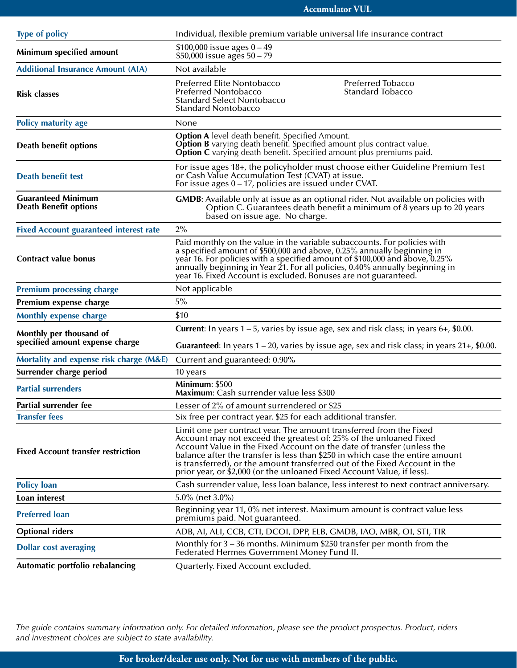|                                                                    | <b>Accumulator VUL</b>                                                                                                                                                                                                                                                                                                                                                                                                                                     |
|--------------------------------------------------------------------|------------------------------------------------------------------------------------------------------------------------------------------------------------------------------------------------------------------------------------------------------------------------------------------------------------------------------------------------------------------------------------------------------------------------------------------------------------|
|                                                                    |                                                                                                                                                                                                                                                                                                                                                                                                                                                            |
| <b>Type of policy</b>                                              | Individual, flexible premium variable universal life insurance contract                                                                                                                                                                                                                                                                                                                                                                                    |
| Minimum specified amount                                           | $$100,000$ issue ages $0 - 49$<br>\$50,000 issue ages $50 - 79$                                                                                                                                                                                                                                                                                                                                                                                            |
| <b>Additional Insurance Amount (AIA)</b>                           | Not available                                                                                                                                                                                                                                                                                                                                                                                                                                              |
| <b>Risk classes</b>                                                | Preferred Elite Nontobacco<br><b>Preferred Tobacco</b><br><b>Standard Tobacco</b><br>Preferred Nontobacco<br><b>Standard Select Nontobacco</b><br><b>Standard Nontobacco</b>                                                                                                                                                                                                                                                                               |
| <b>Policy maturity age</b>                                         | None                                                                                                                                                                                                                                                                                                                                                                                                                                                       |
| Death benefit options                                              | <b>Option A</b> level death benefit. Specified Amount.<br><b>Option B</b> varying death benefit. Specified amount plus contract value.<br><b>Option C</b> varying death benefit. Specified amount plus premiums paid.                                                                                                                                                                                                                                      |
| <b>Death benefit test</b>                                          | For issue ages 18+, the policyholder must choose either Guideline Premium Test<br>or Cash Value Accumulation Test (CVAT) at issue.<br>For issue ages $0 - 17$ , policies are issued under CVAT.                                                                                                                                                                                                                                                            |
| <b>Guaranteed Minimum</b><br><b>Death Benefit options</b>          | <b>GMDB:</b> Available only at issue as an optional rider. Not available on policies with<br>Option C. Guarantees death benefit a minimum of 8 years up to 20 years<br>based on issue age. No charge.                                                                                                                                                                                                                                                      |
| <b>Fixed Account guaranteed interest rate</b>                      | 2%                                                                                                                                                                                                                                                                                                                                                                                                                                                         |
| <b>Contract value bonus</b>                                        | Paid monthly on the value in the variable subaccounts. For policies with<br>a specified amount of \$500,000 and above, 0.25% annually beginning in<br>year 16. For policies with a specified amount of \$100,000 and above, 0.25%<br>annually beginning in Year 21. For all policies, 0.40% annually beginning in<br>year 16. Fixed Account is excluded. Bonuses are not guaranteed.                                                                       |
| <b>Premium processing charge</b>                                   | Not applicable                                                                                                                                                                                                                                                                                                                                                                                                                                             |
| Premium expense charge                                             | $5\%$                                                                                                                                                                                                                                                                                                                                                                                                                                                      |
| <b>Monthly expense charge</b>                                      | \$10                                                                                                                                                                                                                                                                                                                                                                                                                                                       |
| Monthly per thousand of<br>specified amount expense charge         | <b>Current:</b> In years $1 - 5$ , varies by issue age, sex and risk class; in years $6 +$ , \$0.00.<br><b>Guaranteed:</b> In years $1 - 20$ , varies by issue age, sex and risk class; in years $21+$ , \$0.00.                                                                                                                                                                                                                                           |
|                                                                    |                                                                                                                                                                                                                                                                                                                                                                                                                                                            |
| Mortality and expense risk charge (M&E)<br>Surrender charge period | Current and guaranteed: 0.90%<br>10 years                                                                                                                                                                                                                                                                                                                                                                                                                  |
|                                                                    | Minimum: \$500                                                                                                                                                                                                                                                                                                                                                                                                                                             |
| <b>Partial surrenders</b>                                          | Maximum: Cash surrender value less \$300                                                                                                                                                                                                                                                                                                                                                                                                                   |
| Partial surrender fee                                              | Lesser of 2% of amount surrendered or \$25                                                                                                                                                                                                                                                                                                                                                                                                                 |
| <b>Transfer fees</b>                                               | Six free per contract year. \$25 for each additional transfer.                                                                                                                                                                                                                                                                                                                                                                                             |
| <b>Fixed Account transfer restriction</b>                          | Limit one per contract year. The amount transferred from the Fixed<br>Account may not exceed the greatest of: 25% of the unloaned Fixed<br>Account Value in the Fixed Account on the date of transfer (unless the<br>balance after the transfer is less than \$250 in which case the entire amount<br>is transferred), or the amount transferred out of the Fixed Account in the<br>prior year, or \$2,000 (or the unloaned Fixed Account Value, if less). |
| <b>Policy loan</b>                                                 | Cash surrender value, less loan balance, less interest to next contract anniversary.                                                                                                                                                                                                                                                                                                                                                                       |
| Loan interest                                                      | 5.0% (net $3.0\%$ )                                                                                                                                                                                                                                                                                                                                                                                                                                        |
| <b>Preferred loan</b>                                              | Beginning year 11, 0% net interest. Maximum amount is contract value less<br>premiums paid. Not guaranteed.                                                                                                                                                                                                                                                                                                                                                |
| <b>Optional riders</b>                                             | ADB, AI, ALI, CCB, CTI, DCOI, DPP, ELB, GMDB, IAO, MBR, OI, STI, TIR                                                                                                                                                                                                                                                                                                                                                                                       |
| <b>Dollar cost averaging</b>                                       | Monthly for 3 – 36 months. Minimum \$250 transfer per month from the<br>Federated Hermes Government Money Fund II.                                                                                                                                                                                                                                                                                                                                         |
| Automatic portfolio rebalancing                                    | Quarterly. Fixed Account excluded.                                                                                                                                                                                                                                                                                                                                                                                                                         |

*The guide contains summary information only. For detailed information, please see the product prospectus. Product, riders and investment choices are subject to state availability.*